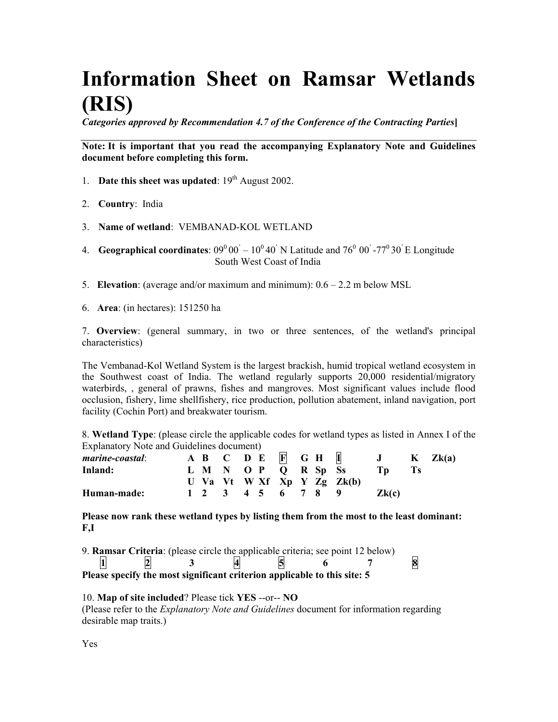# **Information Sheet on Ramsar Wetlands (RIS)**

*Categories approved by Recommendation 4.7 of the Conference of the Contracting Parties***]**

**Note: It is important that you read the accompanying Explanatory Note and Guidelines document before completing this form.**

- 1. **Date this sheet was updated**:  $19<sup>th</sup>$  August 2002.
- 2. **Country**: India
- 3. **Name of wetland**: VEMBANAD-KOL WETLAND
- 4. **Geographical coordinates**:  $09^{\circ}00' 10^{\circ}40'$  N Latitude and  $76^{\circ}00'$  - $77^{\circ}30'$  E Longitude South West Coast of India
- 5. **Elevation**: (average and/or maximum and minimum): 0.6 2.2 m below MSL
- 6. **Area**: (in hectares): 151250 ha

7. **Overview**: (general summary, in two or three sentences, of the wetland's principal characteristics)

The Vembanad-Kol Wetland System is the largest brackish, humid tropical wetland ecosystem in the Southwest coast of India. The wetland regularly supports 20,000 residential/migratory waterbirds, , general of prawns, fishes and mangroves. Most significant values include flood occlusion, fishery, lime shellfishery, rice production, pollution abatement, inland navigation, port facility (Cochin Port) and breakwater tourism.

8. **Wetland Type**: (please circle the applicable codes for wetland types as listed in Annex I of the Explanatory Note and Guidelines document)

| <i>marine-coastal:</i> |  |  | A B C D E F G H I   |  |                            | J     | $K$ $Zk(a)$ |
|------------------------|--|--|---------------------|--|----------------------------|-------|-------------|
| Inland:                |  |  | L M N O P Q R Sp Ss |  |                            |       |             |
|                        |  |  |                     |  | U Va Vt W Xf Xp Y Zg Zk(b) |       |             |
| Human-made:            |  |  | 1 2 3 4 5 6 7 8 9   |  |                            | Zk(c) |             |

**Please now rank these wetland types by listing them from the most to the least dominant: F,I**

9. **Ramsar Criteria**: (please circle the applicable criteria; see point 12 below)

**1 2 3 4 5 6 7 8 Please specify the most significant criterion applicable to this site: 5**

# 10. **Map of site included**? Please tick **YES** --or-- **NO**

(Please refer to the *Explanatory Note and Guidelines* document for information regarding desirable map traits.)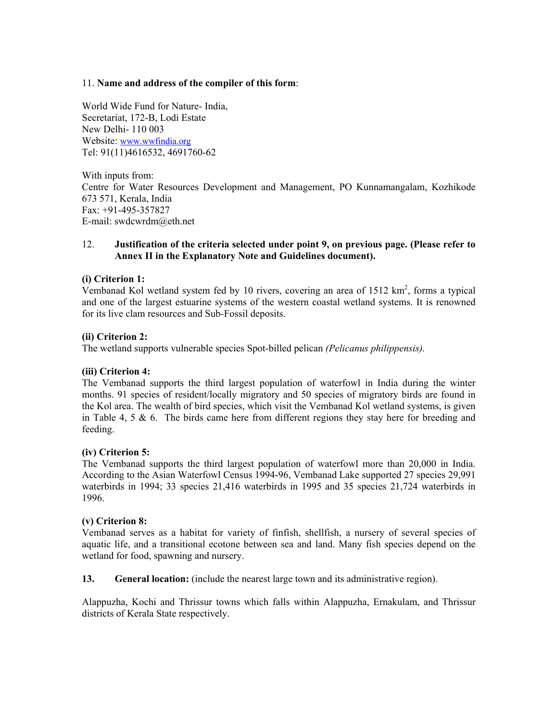# 11. **Name and address of the compiler of this form**:

World Wide Fund for Nature- India, Secretariat, 172-B, Lodi Estate New Delhi- 110 003 Website: www.wwfindia.org Tel: 91(11)4616532, 4691760-62

With inputs from: Centre for Water Resources Development and Management, PO Kunnamangalam, Kozhikode 673 571, Kerala, India Fax: +91-495-357827 E-mail: swdcwrdm@eth.net

# 12. **Justification of the criteria selected under point 9, on previous page. (Please refer to Annex II in the Explanatory Note and Guidelines document).**

# **(i) Criterion 1:**

Vembanad Kol wetland system fed by 10 rivers, covering an area of 1512  $km^2$ , forms a typical and one of the largest estuarine systems of the western coastal wetland systems. It is renowned for its live clam resources and Sub-Fossil deposits.

# **(ii) Criterion 2:**

The wetland supports vulnerable species Spot-billed pelican *(Pelicanus philippensis).*

# **(iii) Criterion 4:**

The Vembanad supports the third largest population of waterfowl in India during the winter months. 91 species of resident/locally migratory and 50 species of migratory birds are found in the Kol area. The wealth of bird species, which visit the Vembanad Kol wetland systems, is given in Table 4, 5  $\&$  6. The birds came here from different regions they stay here for breeding and feeding.

# **(iv) Criterion 5:**

The Vembanad supports the third largest population of waterfowl more than 20,000 in India. According to the Asian Waterfowl Census 1994-96, Vembanad Lake supported 27 species 29,991 waterbirds in 1994; 33 species 21,416 waterbirds in 1995 and 35 species 21,724 waterbirds in 1996.

# **(v) Criterion 8:**

Vembanad serves as a habitat for variety of finfish, shellfish, a nursery of several species of aquatic life, and a transitional ecotone between sea and land. Many fish species depend on the wetland for food, spawning and nursery.

**13. General location:** (include the nearest large town and its administrative region).

Alappuzha, Kochi and Thrissur towns which falls within Alappuzha, Ernakulam, and Thrissur districts of Kerala State respectively.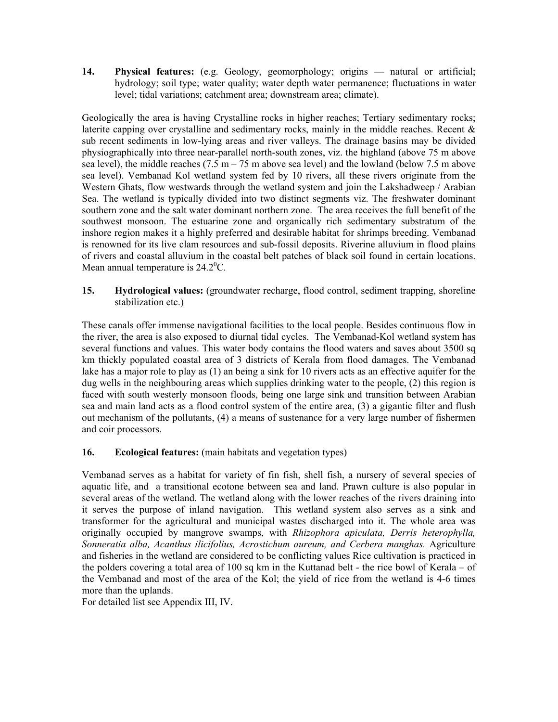**14. Physical features:** (e.g. Geology, geomorphology; origins — natural or artificial; hydrology; soil type; water quality; water depth water permanence; fluctuations in water level; tidal variations; catchment area; downstream area; climate).

Geologically the area is having Crystalline rocks in higher reaches; Tertiary sedimentary rocks; laterite capping over crystalline and sedimentary rocks, mainly in the middle reaches. Recent  $\&$ sub recent sediments in low-lying areas and river valleys. The drainage basins may be divided physiographically into three near-parallel north-south zones, viz. the highland (above 75 m above sea level), the middle reaches  $(7.5 \text{ m} - 75 \text{ m})$  above sea level) and the lowland (below 7.5 m above sea level). Vembanad Kol wetland system fed by 10 rivers, all these rivers originate from the Western Ghats, flow westwards through the wetland system and join the Lakshadweep / Arabian Sea. The wetland is typically divided into two distinct segments viz. The freshwater dominant southern zone and the salt water dominant northern zone. The area receives the full benefit of the southwest monsoon. The estuarine zone and organically rich sedimentary substratum of the inshore region makes it a highly preferred and desirable habitat for shrimps breeding. Vembanad is renowned for its live clam resources and sub-fossil deposits. Riverine alluvium in flood plains of rivers and coastal alluvium in the coastal belt patches of black soil found in certain locations. Mean annual temperature is  $24.2^{\circ}$ C.

**15. Hydrological values:** (groundwater recharge, flood control, sediment trapping, shoreline stabilization etc.)

These canals offer immense navigational facilities to the local people. Besides continuous flow in the river, the area is also exposed to diurnal tidal cycles. The Vembanad-Kol wetland system has several functions and values. This water body contains the flood waters and saves about 3500 sq km thickly populated coastal area of 3 districts of Kerala from flood damages. The Vembanad lake has a major role to play as (1) an being a sink for 10 rivers acts as an effective aquifer for the dug wells in the neighbouring areas which supplies drinking water to the people, (2) this region is faced with south westerly monsoon floods, being one large sink and transition between Arabian sea and main land acts as a flood control system of the entire area, (3) a gigantic filter and flush out mechanism of the pollutants, (4) a means of sustenance for a very large number of fishermen and coir processors.

# **16. Ecological features:** (main habitats and vegetation types)

Vembanad serves as a habitat for variety of fin fish, shell fish, a nursery of several species of aquatic life, and a transitional ecotone between sea and land. Prawn culture is also popular in several areas of the wetland. The wetland along with the lower reaches of the rivers draining into it serves the purpose of inland navigation. This wetland system also serves as a sink and transformer for the agricultural and municipal wastes discharged into it. The whole area was originally occupied by mangrove swamps, with *Rhizophora apiculata, Derris heterophylla,* Sonneratia alba, Acanthus ilicifolius, Acrostichum aureum, and Cerbera manghas. Agriculture and fisheries in the wetland are considered to be conflicting values Rice cultivation is practiced in the polders covering a total area of 100 sq km in the Kuttanad belt - the rice bowl of Kerala – of the Vembanad and most of the area of the Kol; the yield of rice from the wetland is 4-6 times more than the uplands.

For detailed list see Appendix III, IV.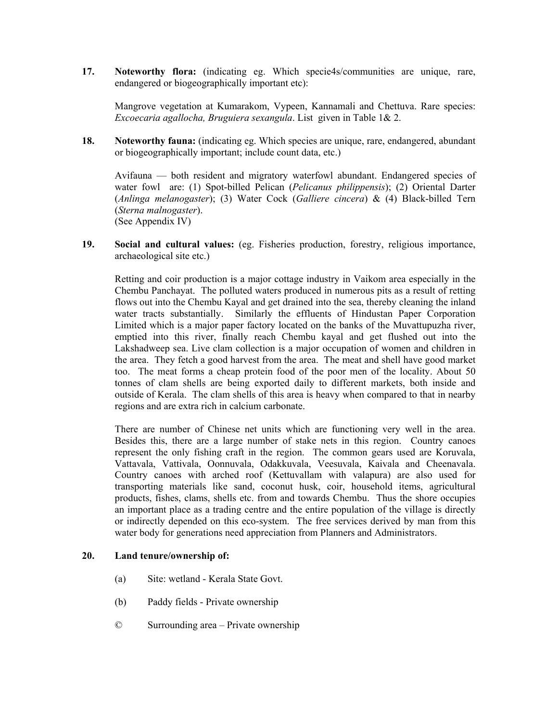**17. Noteworthy flora:** (indicating eg. Which specie4s/communities are unique, rare, endangered or biogeographically important etc):

Mangrove vegetation at Kumarakom, Vypeen, Kannamali and Chettuva. Rare species: *Excoecaria agallocha, Bruguiera sexangula*. List given in Table 1& 2.

**18. Noteworthy fauna:** (indicating eg. Which species are unique, rare, endangered, abundant or biogeographically important; include count data, etc.)

Avifauna — both resident and migratory waterfowl abundant. Endangered species of water fowl are: (1) Spot-billed Pelican (*Pelicanus philippensis*); (2) Oriental Darter (*Anlinga melanogaster*); (3) Water Cock (*Galliere cincera*) & (4) Black-billed Tern (*Sterna malnogaster*). (See Appendix IV)

**19. Social and cultural values:** (eg. Fisheries production, forestry, religious importance, archaeological site etc.)

Retting and coir production is a major cottage industry in Vaikom area especially in the Chembu Panchayat. The polluted waters produced in numerous pits as a result of retting flows out into the Chembu Kayal and get drained into the sea, thereby cleaning the inland water tracts substantially. Similarly the effluents of Hindustan Paper Corporation Limited which is a major paper factory located on the banks of the Muvattupuzha river, emptied into this river, finally reach Chembu kayal and get flushed out into the Lakshadweep sea. Live clam collection is a major occupation of women and children in the area. They fetch a good harvest from the area. The meat and shell have good market too. The meat forms a cheap protein food of the poor men of the locality. About 50 tonnes of clam shells are being exported daily to different markets, both inside and outside of Kerala. The clam shells of this area is heavy when compared to that in nearby regions and are extra rich in calcium carbonate.

There are number of Chinese net units which are functioning very well in the area. Besides this, there are a large number of stake nets in this region. Country canoes represent the only fishing craft in the region. The common gears used are Koruvala, Vattavala, Vattivala, Oonnuvala, Odakkuvala, Veesuvala, Kaivala and Cheenavala. Country canoes with arched roof (Kettuvallam with valapura) are also used for transporting materials like sand, coconut husk, coir, household items, agricultural products, fishes, clams, shells etc. from and towards Chembu. Thus the shore occupies an important place as a trading centre and the entire population of the village is directly or indirectly depended on this eco-system. The free services derived by man from this water body for generations need appreciation from Planners and Administrators.

# **20. Land tenure/ownership of:**

- (a) Site: wetland Kerala State Govt.
- (b) Paddy fields Private ownership
- © Surrounding area Private ownership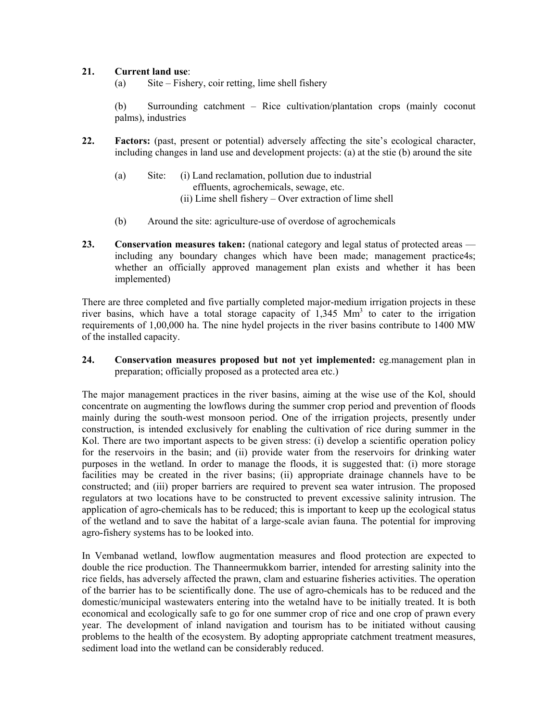# **21. Current land use**:

(a) Site – Fishery, coir retting, lime shell fishery

(b) Surrounding catchment – Rice cultivation/plantation crops (mainly coconut palms), industries

- **22. Factors:** (past, present or potential) adversely affecting the site's ecological character, including changes in land use and development projects: (a) at the stie (b) around the site
	- (a) Site: (i) Land reclamation, pollution due to industrial effluents, agrochemicals, sewage, etc. (ii) Lime shell fishery – Over extraction of lime shell
	- (b) Around the site: agriculture-use of overdose of agrochemicals
- **23. Conservation measures taken:** (national category and legal status of protected areas including any boundary changes which have been made; management practice4s; whether an officially approved management plan exists and whether it has been implemented)

There are three completed and five partially completed major-medium irrigation projects in these river basins, which have a total storage capacity of  $1,345$  Mm<sup>3</sup> to cater to the irrigation requirements of 1,00,000 ha. The nine hydel projects in the river basins contribute to 1400 MW of the installed capacity.

**24. Conservation measures proposed but not yet implemented:** eg.management plan in preparation; officially proposed as a protected area etc.)

The major management practices in the river basins, aiming at the wise use of the Kol, should concentrate on augmenting the lowflows during the summer crop period and prevention of floods mainly during the south-west monsoon period. One of the irrigation projects, presently under construction, is intended exclusively for enabling the cultivation of rice during summer in the Kol. There are two important aspects to be given stress: (i) develop a scientific operation policy for the reservoirs in the basin; and (ii) provide water from the reservoirs for drinking water purposes in the wetland. In order to manage the floods, it is suggested that: (i) more storage facilities may be created in the river basins; (ii) appropriate drainage channels have to be constructed; and (iii) proper barriers are required to prevent sea water intrusion. The proposed regulators at two locations have to be constructed to prevent excessive salinity intrusion. The application of agro-chemicals has to be reduced; this is important to keep up the ecological status of the wetland and to save the habitat of a large-scale avian fauna. The potential for improving agro-fishery systems has to be looked into.

In Vembanad wetland, lowflow augmentation measures and flood protection are expected to double the rice production. The Thanneermukkom barrier, intended for arresting salinity into the rice fields, has adversely affected the prawn, clam and estuarine fisheries activities. The operation of the barrier has to be scientifically done. The use of agro-chemicals has to be reduced and the domestic/municipal wastewaters entering into the wetalnd have to be initially treated. It is both economical and ecologically safe to go for one summer crop of rice and one crop of prawn every year. The development of inland navigation and tourism has to be initiated without causing problems to the health of the ecosystem. By adopting appropriate catchment treatment measures, sediment load into the wetland can be considerably reduced.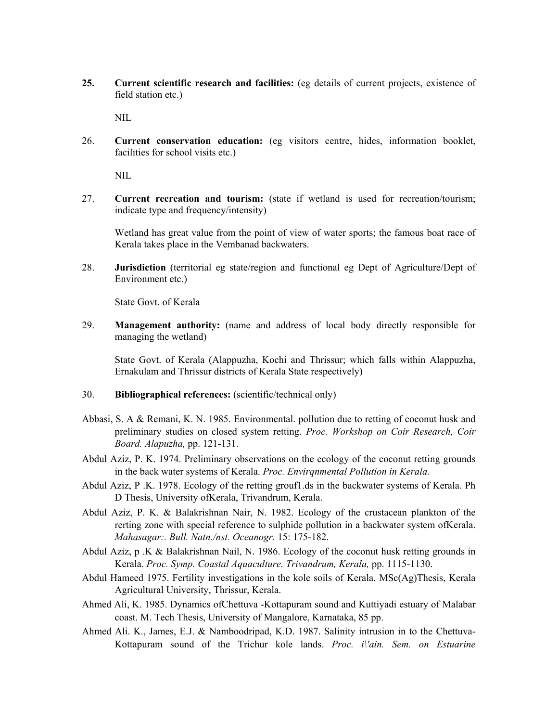**25. Current scientific research and facilities:** (eg details of current projects, existence of field station etc.)

NIL

26. **Current conservation education:** (eg visitors centre, hides, information booklet, facilities for school visits etc.)

NIL

27. **Current recreation and tourism:** (state if wetland is used for recreation/tourism; indicate type and frequency/intensity)

Wetland has great value from the point of view of water sports; the famous boat race of Kerala takes place in the Vembanad backwaters.

28. **Jurisdiction** (territorial eg state/region and functional eg Dept of Agriculture/Dept of Environment etc.)

State Govt. of Kerala

29. **Management authority:** (name and address of local body directly responsible for managing the wetland)

State Govt. of Kerala (Alappuzha, Kochi and Thrissur; which falls within Alappuzha, Ernakulam and Thrissur districts of Kerala State respectively)

- 30. **Bibliographical references:** (scientific/technical only)
- Abbasi, S. A & Remani, K. N. 1985. Environmental. pollution due to retting of coconut husk and preliminary studies on closed system retting. *Proc. Workshop on Coir Research, Coir Board. Alapuzha,* pp. 121-131.
- Abdul Aziz, P. K. 1974. Preliminary observations on the ecology of the coconut retting grounds in the back water systems of Kerala. *Proc. Envirqnmental Pollution in Kerala.*
- Abdul Aziz, P .K. 1978. Ecology of the retting grouf1.ds in the backwater systems of Kerala. Ph D Thesis, University ofKerala, Trivandrum, Kerala.
- Abdul Aziz, P. K. & Balakrishnan Nair, N. 1982. Ecology of the crustacean plankton of the rerting zone with special reference to sulphide pollution in a backwater system ofKerala. *Mahasagar:. Bull. Natn./nst. Oceanogr.* 15: 175-182.
- Abdul Aziz, p .K & Balakrishnan Nail, N. 1986. Ecology of the coconut husk retting grounds in Kerala. *Proc. Symp. Coastal Aquaculture. Trivandrum, Kerala,* pp. 1115-1130.
- Abdul Hameed 1975. Fertility investigations in the kole soils of Kerala. MSc(Ag)Thesis, Kerala Agricultural University, Thrissur, Kerala.
- Ahmed Ali, K. 1985. Dynamics ofChettuva -Kottapuram sound and Kuttiyadi estuary of Malabar coast. M. Tech Thesis, University of Mangalore, Karnataka, 85 pp.
- Ahmed Ali. K., James, E.J. & Namboodripad, K.D. 1987. Salinity intrusion in to the Chettuva-Kottapuram sound of the Trichur kole lands. *Proc. i\'ain. Sem. on Estuarine*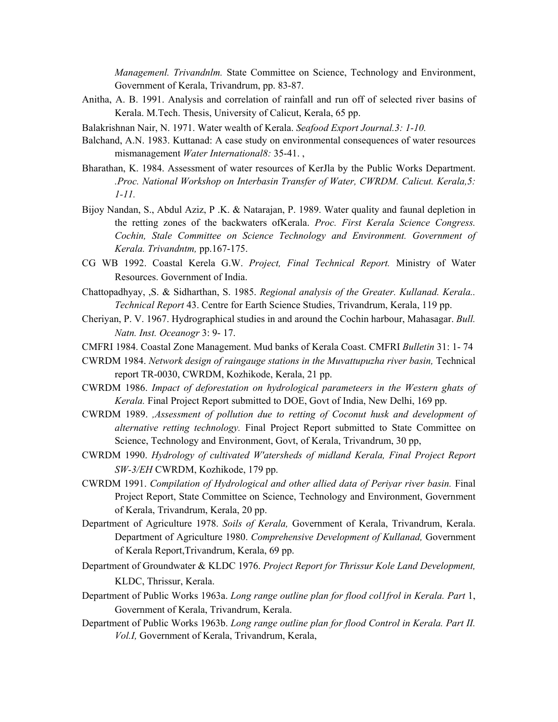*Managemenl. Trivandnlm.* State Committee on Science, Technology and Environment, Government of Kerala, Trivandrum, pp. 83-87.

- Anitha, A. B. 1991. Analysis and correlation of rainfall and run off of selected river basins of Kerala. M.Tech. Thesis, University of Calicut, Kerala, 65 pp.
- Balakrishnan Nair, N. 1971. Water wealth of Kerala. *Seafood Export Journal.3: 1-10.*
- Balchand, A.N. 1983. Kuttanad: A case study on environmental consequences of water resources mismanagement *Water International8:* 35-41. ,
- Bharathan, K. 1984. Assessment of water resources of KerJla by the Public Works Department. *.Proc. National Workshop on Interbasin Transfer of Water, CWRDM. Calicut. Kerala,5: 1-11.*
- Bijoy Nandan, S., Abdul Aziz, P .K. & Natarajan, P. 1989. Water quality and faunal depletion in the retting zones of the backwaters ofKerala. *Proc. First Kerala Science Congress. Cochin, Stale Committee on Science Technology and Environment. Government of Kerala. Trivandntm,* pp.167-175.
- CG WB 1992. Coastal Kerela G.W. *Project, Final Technical Report.* Ministry of Water Resources. Government of India.
- Chattopadhyay, ,S. & Sidharthan, S. 1985. *Regional analysis of the Greater. Kullanad. Kerala.. Technical Report* 43. Centre for Earth Science Studies, Trivandrum, Kerala, 119 pp.
- Cheriyan, P. V. 1967. Hydrographical studies in and around the Cochin harbour, Mahasagar. *Bull. Natn. Inst. Oceanogr* 3: 9- 17.
- CMFRI 1984. Coastal Zone Management. Mud banks of Kerala Coast. CMFRI *Bulletin* 31: 1- 74
- CWRDM 1984. *Network design of raingauge stations in the Muvattupuzha river basin,* Technical report TR-0030, CWRDM, Kozhikode, Kerala, 21 pp.
- CWRDM 1986. *Impact of deforestation on hydrological parameteers in the Western ghats of Kerala.* Final Project Report submitted to DOE, Govt of India, New Delhi, 169 pp.
- CWRDM 1989. *,Assessment of pollution due to retting of Coconut husk and development of alternative retting technology.* Final Project Report submitted to State Committee on Science, Technology and Environment, Govt, of Kerala, Trivandrum, 30 pp,
- CWRDM 1990. *Hydrology of cultivated W'atersheds of midland Kerala, Final Project Report SW-3/EH* CWRDM, Kozhikode, 179 pp.
- CWRDM 1991. *Compilation of Hydrological and other allied data of Periyar river basin.* Final Project Report, State Committee on Science, Technology and Environment, Government of Kerala, Trivandrum, Kerala, 20 pp.
- Department of Agriculture 1978. *Soils of Kerala,* Government of Kerala, Trivandrum, Kerala. Department of Agriculture 1980. *Comprehensive Development of Kullanad,* Government of Kerala Report,Trivandrum, Kerala, 69 pp.
- Department of Groundwater & KLDC 1976. *Project Report for Thrissur Kole Land Development,* KLDC, Thrissur, Kerala.
- Department of Public Works 1963a. *Long range outline plan for flood col1frol in Kerala. Part* 1, Government of Kerala, Trivandrum, Kerala.
- Department of Public Works 1963b. *Long range outline plan for flood Control in Kerala. Part II. Vol.I,* Government of Kerala, Trivandrum, Kerala,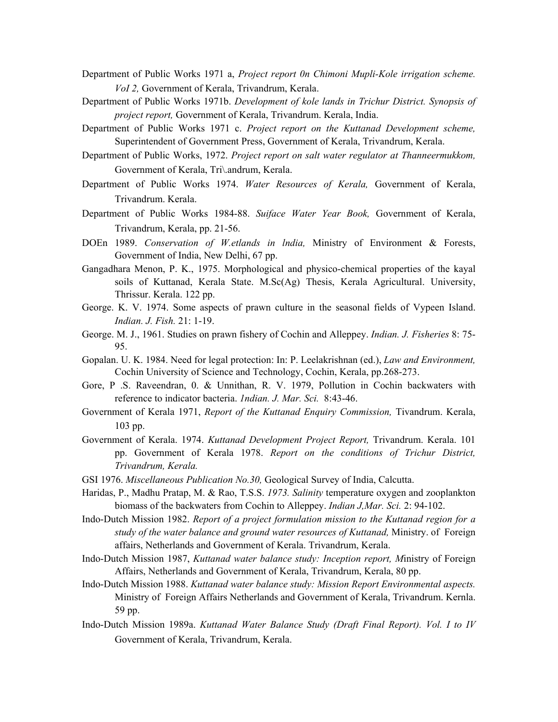- Department of Public Works 1971 a, *Project report 0n Chimoni Mupli-Kole irrigation scheme. VoI 2,* Government of Kerala, Trivandrum, Kerala.
- Department of Public Works 1971b. *Development of kole lands in Trichur District. Synopsis of project report,* Government of Kerala, Trivandrum. Kerala, India.
- Department of Public Works 1971 c. *Project report on the Kuttanad Development scheme,* Superintendent of Government Press, Government of Kerala, Trivandrum, Kerala.
- Department of Public Works, 1972. *Project report on salt water regulator at Thanneermukkom,* Government of Kerala, Tri\.andrum, Kerala.
- Department of Public Works 1974. *Water Resources of Kerala,* Government of Kerala, Trivandrum. Kerala.
- Department of Public Works 1984-88. *Suiface Water Year Book,* Government of Kerala, Trivandrum, Kerala, pp. 21-56.
- DOEn 1989. *Conservation of W.etlands in lndia,* Ministry of Environment & Forests, Government of India, New Delhi, 67 pp.
- Gangadhara Menon, P. K., 1975. Morphological and physico-chemical properties of the kayal soils of Kuttanad, Kerala State. M.Sc(Ag) Thesis, Kerala Agricultural. University, Thrissur. Kerala. 122 pp.
- George. K. V. 1974. Some aspects of prawn culture in the seasonal fields of Vypeen Island. *Indian. J. Fish.* 21: 1-19.
- George. M. J., 1961. Studies on prawn fishery of Cochin and Alleppey. *Indian. J. Fisheries* 8: 75- 95.
- Gopalan. U. K. 1984. Need for legal protection: In: P. Leelakrishnan (ed.), *Law and Environment,* Cochin University of Science and Technology, Cochin, Kerala, pp.268-273.
- Gore, P .S. Raveendran, 0. & Unnithan, R. V. 1979, Pollution in Cochin backwaters with reference to indicator bacteria. *1ndian. J. Mar. Sci.* 8:43-46.
- Government of Kerala 1971, *Report of the Kuttanad Enquiry Commission,* Tivandrum. Kerala, 103 pp.
- Government of Kerala. 1974. *Kuttanad Development Project Report,* Trivandrum. Kerala. 101 pp. Government of Kerala 1978. *Report on the conditions of Trichur District, Trivandrum, Kerala.*
- GSI 1976. *Miscellaneous Publication No.30,* Geological Survey of India, Calcutta.
- Haridas, P., Madhu Pratap, M. & Rao, T.S.S. *1973. Salinity* temperature oxygen and zooplankton biomass of the backwaters from Cochin to Alleppey. *Indian J,Mar. Sci.* 2: 94-102.
- Indo-Dutch Mission 1982. *Report of a project formulation mission to the Kuttanad region for a study of the water balance and ground water resources of Kuttanad,* Ministry. of Foreign affairs, Netherlands and Government of Kerala. Trivandrum, Kerala.
- Indo-Dutch Mission 1987, *Kuttanad water balance study: Inception report, M*inistry of Foreign Affairs, Netherlands and Government of Kerala, Trivandrum, Kerala, 80 pp.
- Indo-Dutch Mission 1988. *Kuttanad water balance study: Mission Report Environmental aspects.* Ministry of Foreign Affairs Netherlands and Government of Kerala, Trivandrum. Kernla. 59 pp.
- Indo-Dutch Mission 1989a. *Kuttanad Water Balance Study (Draft Final Report). Vol. I to IV* Government of Kerala, Trivandrum, Kerala.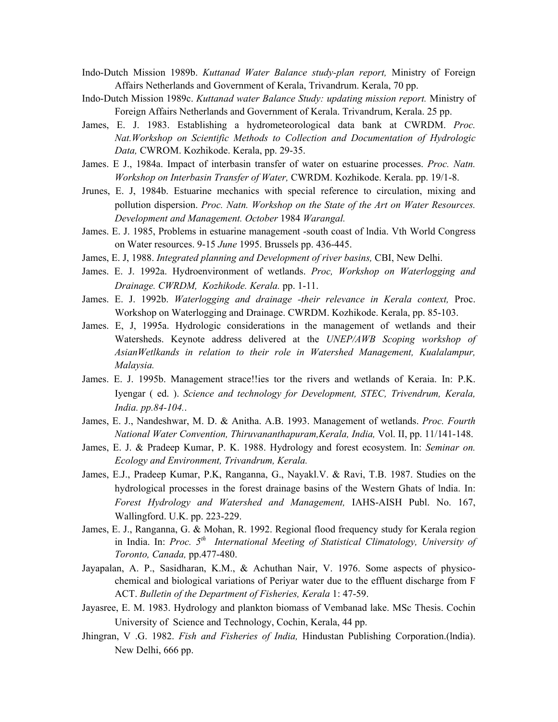- Indo-Dutch Mission 1989b. *Kuttanad Water Balance study-plan report,* Ministry of Foreign Affairs Netherlands and Government of Kerala, Trivandrum. Kerala, 70 pp.
- Indo-Dutch Mission 1989c. *Kuttanad water Balance Study: updating mission report.* Ministry of Foreign Affairs Netherlands and Government of Kerala. Trivandrum, Kerala. 25 pp.
- James, E. J. 1983. Establishing a hydrometeorological data bank at CWRDM. *Proc. Nat.Workshop on Scientific Methods to Collection and Documentation of Hydrologic Data,* CWROM. Kozhikode. Kerala, pp. 29-35.
- James. E J., 1984a. Impact of interbasin transfer of water on estuarine processes. *Proc. Natn. Workshop on Interbasin Transfer of Water,* CWRDM. Kozhikode. Kerala. pp. 19/1-8.
- Jrunes, E. J, 1984b. Estuarine mechanics with special reference to circulation, mixing and pollution dispersion. *Proc. Natn. Workshop on the State of the Art on Water Resources. Development and Management. October* 1984 *Warangal.*
- James. E. J. 1985, Problems in estuarine management -south coast of lndia. Vth World Congress on Water resources. 9-15 *June* 1995. Brussels pp. 436-445.
- James, E. J, 1988. *Integrated planning and Development of river basins,* CBI, New Delhi.
- James. E. J. 1992a. Hydroenvironment of wetlands. *Proc, Workshop on Waterlogging and Drainage. CWRDM, Kozhikode. Kerala.* pp. 1-11.
- James. E. J. 1992b. *Waterlogging and drainage -their relevance in Kerala context,* Proc. Workshop on Waterlogging and Drainage. CWRDM. Kozhikode. Kerala, pp. 85-103.
- James. E, J, 1995a. Hydrologic considerations in the management of wetlands and their Watersheds. Keynote address delivered at the *UNEP/AWB Scoping workshop of AsianWetlkands in relation to their role in Watershed Management, Kualalampur, Malaysia.*
- James. E. J. 1995b. Management strace!!ies tor the rivers and wetlands of Keraia. In: P.K. Iyengar ( ed. ). *Science and technology for Development, STEC, Trivendrum, Kerala, India. pp.84-104.*.
- James, E. J., Nandeshwar, M. D. & Anitha. A.B. 1993. Management of wetlands. *Proc. Fourth National Water Convention, Thiruvananthapuram,Kerala, India,* Vol. II, pp. 11/141-148.
- James, E. J. & Pradeep Kumar, P. K. 1988. Hydrology and forest ecosystem. In: *Seminar on. Ecology and Environment, Trivandrum, Kerala.*
- James, E.J., Pradeep Kumar, P.K, Ranganna, G., Nayakl.V. & Ravi, T.B. 1987. Studies on the hydrological processes in the forest drainage basins of the Western Ghats of lndia. In: *Forest Hydrology and Watershed and Management,* IAHS-AISH Publ. No. 167, Wallingford. U.K. pp. 223-229.
- James, E. J., Ranganna, G. & Mohan, R. 1992. Regional flood frequency study for Kerala region in India. In: *Proc. 5th International Meeting of Statistical Climatology, University of Toronto, Canada,* pp.477-480.
- Jayapalan, A. P., Sasidharan, K.M., & Achuthan Nair, V. 1976. Some aspects of physicochemical and biological variations of Periyar water due to the effluent discharge from F ACT. *Bulletin of the Department of Fisheries, Kerala* 1: 47-59.
- Jayasree, E. M. 1983. Hydrology and plankton biomass of Vembanad lake. MSc Thesis. Cochin University of Science and Technology, Cochin, Kerala, 44 pp.
- Jhingran, V .G. 1982. *Fish and Fisheries of India,* Hindustan Publishing Corporation.(lndia). New Delhi, 666 pp.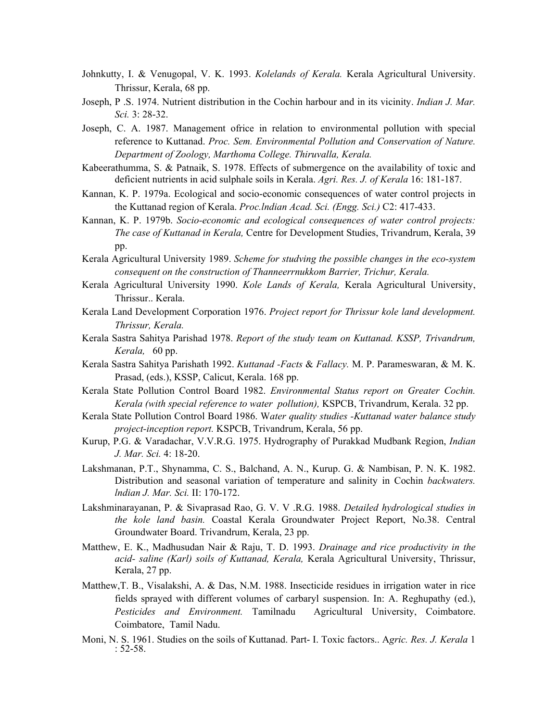- Johnkutty, I. & Venugopal, V. K. 1993. *Kolelands of Kerala.* Kerala Agricultural University. Thrissur, Kerala, 68 pp.
- Joseph, P .S. 1974. Nutrient distribution in the Cochin harbour and in its vicinity. *Indian J. Mar. Sci.* 3: 28-32.
- Joseph, C. A. 1987. Management ofrice in relation to environmental pollution with special reference to Kuttanad. *Proc. Sem. Environmental Pollution and Conservation of Nature. Department of Zoology, Marthoma College. Thiruvalla, Kerala.*
- Kabeerathumma, S. & Patnaik, S. 1978. Effects of submergence on the availability of toxic and deficient nutrients in acid sulphale soils in Kerala. *Agri. Res. J. of Kerala* 16: 181-187.
- Kannan, K. P. 1979a. Ecological and socio-economic consequences of water control projects in the Kuttanad region of Kerala. *Proc.lndian Acad. Sci. (Engg. Sci.)* C2: 417-433.
- Kannan, K. P. 1979b. *Socio-economic and ecological consequences of water control projects: The case of Kuttanad in Kerala,* Centre for Development Studies, Trivandrum, Kerala, 39 pp.
- Kerala Agricultural University 1989. *Scheme for studving the possible changes in the eco-system consequent on the construction of Thanneerrnukkom Barrier, Trichur, Kerala.*
- Kerala Agricultural University 1990. *Kole Lands of Kerala,* Kerala Agricultural University, Thrissur.. Kerala.
- Kerala Land Development Corporation 1976. *Project report for Thrissur kole land development. Thrissur, Kerala.*
- Kerala Sastra Sahitya Parishad 1978. *Report of the study team on Kuttanad. KSSP, Trivandrum, Kerala,* 60 pp.
- Kerala Sastra Sahitya Parishath 1992. *Kuttanad -Facts* & *Fallacy.* M. P. Parameswaran, & M. K. Prasad, (eds.), KSSP, Calicut, Kerala. 168 pp.
- Kerala State Pollution Control Board 1982. *Environmental Status report on Greater Cochin. Kerala (with special reference to water pollution),* KSPCB, Trivandrum, Kerala. 32 pp.
- Kerala State Pollution Control Board 1986. W*ater quality studies -Kuttanad water balance study project-inception report.* KSPCB, Trivandrum, Kerala, 56 pp.
- Kurup, P.G. & Varadachar, V.V.R.G. 1975. Hydrography of Purakkad Mudbank Region, *Indian J. Mar. Sci.* 4: 18-20.
- Lakshmanan, P.T., Shynamma, C. S., Balchand, A. N., Kurup. G. & Nambisan, P. N. K. 1982. Distribution and seasonal variation of temperature and salinity in Cochin *backwaters. lndian J. Mar. Sci.* II: 170-172.
- Lakshminarayanan, P. & Sivaprasad Rao, G. V. V .R.G. 1988. *Detailed hydrological studies in the kole land basin.* Coastal Kerala Groundwater Project Report, No.38. Central Groundwater Board. Trivandrum, Kerala, 23 pp.
- Matthew, E. K., Madhusudan Nair & Raju, T. D. 1993. *Drainage and rice productivity in the acid- saline (Karl) soils of Kuttanad, Kerala,* Kerala Agricultural University, Thrissur, Kerala, 27 pp.
- Matthew,T. B., Visalakshi, A. & Das, N.M. 1988. Insecticide residues in irrigation water in rice fields sprayed with different volumes of carbaryl suspension. In: A. Reghupathy (ed.), *Pesticides and Environment.* Tamilnadu Agricultural University, Coimbatore. Coimbatore, Tamil Nadu.
- Moni, N. S. 1961. Studies on the soils of Kuttanad. Part- I. Toxic factors.. A*gric. Res. J. Kerala* 1 : 52-58.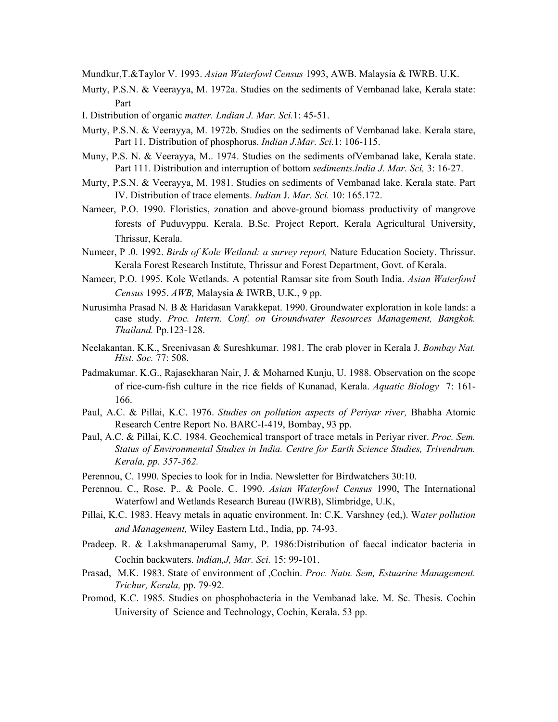Mundkur,T.&Taylor V. 1993. *Asian Waterfowl Census* 1993, AWB. Malaysia & IWRB. U.K.

- Murty, P.S.N. & Veerayya, M. 1972a. Studies on the sediments of Vembanad lake, Kerala state: Part
- I. Distribution of organic *matter. Lndian J. Mar. Sci.*1: 45-51.
- Murty, P.S.N. & Veerayya, M. 1972b. Studies on the sediments of Vembanad lake. Kerala stare, Part 11. Distribution of phosphorus. *Indian J.Mar. Sci.*1: 106-115.
- Muny, P.S. N. & Veerayya, M.. 1974. Studies on the sediments ofVembanad lake, Kerala state. Part 111. Distribution and interruption of bottom *sediments.lndia J. Mar. Sci,* 3: 16-27.
- Murty, P.S.N. & Veerayya, M. 1981. Studies on sediments of Vembanad lake. Kerala state. Part IV. Distribution of trace elements. *Indian* J. *Mar. Sci.* 10: 165.172.
- Nameer, P.O. 1990. Floristics, zonation and above-ground biomass productivity of mangrove forests of Puduvyppu. Kerala. B.Sc. Project Report, Kerala Agricultural University, Thrissur, Kerala.
- Numeer, P .0. 1992. *Birds of Kole Wetland: a survey report,* Nature Education Society. Thrissur. Kerala Forest Research Institute, Thrissur and Forest Department, Govt. of Kerala.
- Nameer, P.O. 1995. Kole Wetlands. A potential Ramsar site from South India. *Asian Waterfowl Census* 1995. *AWB,* Malaysia & IWRB, U.K., 9 pp.
- Nurusimha Prasad N. B & Haridasan Varakkepat. 1990. Groundwater exploration in kole lands: a case study. *Proc. Intern. Conf. on Groundwater Resources Management, Bangkok. Thailand.* Pp.123-128.
- Neelakantan. K.K., Sreenivasan & Sureshkumar. 1981. The crab plover in Kerala J. *Bombay Nat. Hist. Soc.* 77: 508.
- Padmakumar. K.G., Rajasekharan Nair, J. & Moharned Kunju, U. 1988. Observation on the scope of rice-cum-fish culture in the rice fields of Kunanad, Kerala. *Aquatic Biology* 7: 161- 166.
- Paul, A.C. & Pillai, K.C. 1976. *Studies on pollution aspects of Periyar river,* Bhabha Atomic Research Centre Report No. BARC-I-419, Bombay, 93 pp.
- Paul, A.C. & Pillai, K.C. 1984. Geochemical transport of trace metals in Periyar river. *Proc. Sem. Status of Environmental Studies in India. Centre for Earth Science Studies, Trivendrum. Kerala, pp. 357-362.*
- Perennou, C. 1990. Species to look for in India. Newsletter for Birdwatchers 30:10.
- Perennou. C., Rose. P.. & Poole. C. 1990. *Asian Waterfowl Census* 1990, The International Waterfowl and Wetlands Research Bureau (IWRB), Slimbridge, U.K,
- Pillai, K.C. 1983. Heavy metals in aquatic environment. In: C.K. Varshney (ed,). W*ater pollution and Management,* Wiley Eastern Ltd., India, pp. 74-93.
- Pradeep. R. & Lakshmanaperumal Samy, P. 1986:Distribution of faecal indicator bacteria in Cochin backwaters. *lndian,J, Mar. Sci.* 15: 99-101.
- Prasad, M.K. 1983. State of environment of ,Cochin. *Proc. Natn. Sem, Estuarine Management. Trichur, Kerala,* pp. 79-92.
- Promod, K.C. 1985. Studies on phosphobacteria in the Vembanad lake. M. Sc. Thesis. Cochin University of Science and Technology, Cochin, Kerala. 53 pp.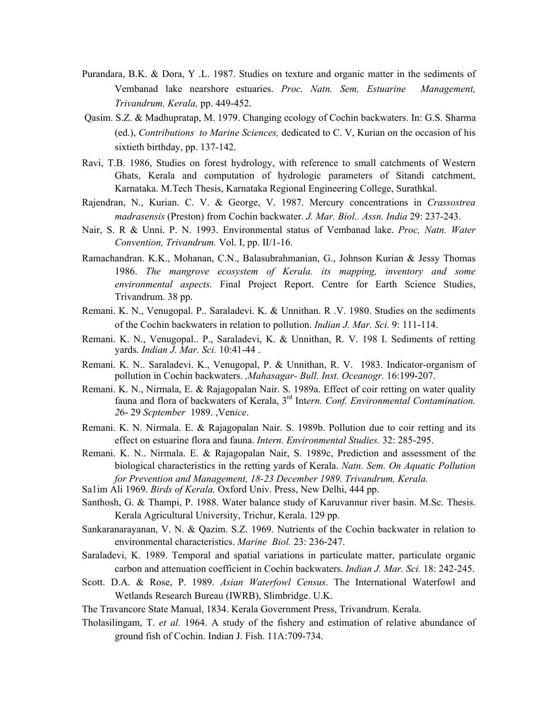- Purandara, B.K. & Dora, Y .L. 1987. Studies on texture and organic matter in the sediments of Vembanad lake nearshore estuaries. *Proc. Natn. Sem, Estuarine Management, Trivandrum, Kerala,* pp. 449-452.
- Qasim. S.Z. & Madhupratap, M. 1979. Changing ecology of Cochin backwaters. In: G.S. Sharma (ed.), *Contributions to Marine Sciences,* dedicated to C. V, Kurian on the occasion of his sixtieth birthday, pp. 137-142.
- Ravi, T.B. 1986, Studies on forest hydrology, with reference to small catchments of Western Ghats, Kerala and computation of hydrologic parameters of Sitandi catchment, Karnataka. M.Tech Thesis, Karnataka Regional Engineering College, Surathkal.
- Rajendran, N., Kurian. C. V. & George, V. 1987. Mercury concentrations in *Crassostrea madrasensis* (Preston) from Cochin backwater. *J. Mar. Biol.. Assn. India* 29: 237-243.
- Nair, S. R & Unni. P. N. 1993. Environmental status of Vembanad lake. *Proc, Natn. Water Convention, Trivandrum.* Vol. I, pp. II/1-16.
- Ramachandran. K.K., Mohanan, C.N., Balasubrahmanian, G., Johnson Kurian & Jessy Thomas 1986. *The mangrove ecosystem of Kerala. its mapping, inventory and some environmental aspects.* Final Project Report. Centre for Earth Science Studies, Trivandrum. 38 pp.
- Remani. K. N., Venugopal. P.. Saraladevi. K. & Unnithan. R .V. 1980. Studies on the sediments of the Cochin backwaters in relation to pollution. *Indian J. Mar. Sci.* 9: 111-114.
- Remani. K. N., Venugopal.. P., Saraladevi, K. & Unnithan, R. V. 198 I. Sediments of retting yards. *Indian J. Mar. Sci.* 10:41-44 .
- Remani. K. N.. Saraladevi. K., Venugopal, P. & Unnithan, R. V. 1983. Indicator-organism of pollution in Cochin backwaters. *,Mahasagar- Bull. Inst. Oceanogr.* 16:199-207.
- Remani. K. N., Nirmala, E. & Rajagopalan Nair. S. 1989a. Effect of coir retting on water quality fauna and flora of backwaters of Kerala, 3rd Int*ern. Conf. Environmental Contamination. 2*6- 29 *Scptember* 1989. ,Ven*ice*.
- Remani. K. N. Nirmala. E. & Rajagopalan Nair. S. 1989b. Pollution due to coir retting and its effect on estuarine flora and fauna. *Intern. Environmental Studies.* 32: 285-295.
- Remani. K. N.. Nirmala. E. & Rajagopalan Nair, S. 1989c, Prediction and assessment of the biological characteristics in the retting yards of Kerala. *Natn. Sem. On Aquatic Pollution for Prevention and Management, 18-23 December 1989. Trivandrum, Kerala.*
- Sa1im Ali 1969. *Birds of Kerala,* Oxford Univ. Press, New Delhi, 444 pp.
- Santhosh, G. & Thampi, P. 1988. Water balance study of Karuvannur river basin. M.Sc. Thesis. Kerala Agricultural University, Trichur, Kerala. 129 pp.
- Sankaranarayanan, V. N. & Qazim. S.Z. 1969. Nutrients of the Cochin backwater in relation to environmental characteristics. *Marine Biol.* 23: 236-247.
- Saraladevi, K. 1989. Temporal and spatial variations in particulate matter, particulate organic carbon and attenuation coefficient in Cochin backwaters. *Indian J. Mar. Sci.* 18: 242-245.
- Scott. D.A. & Rose, P. 1989. *Asian Waterfowl Census*. The International Waterfowl and Wetlands Research Bureau (IWRB), Slimbridge. U.K.
- The Travancore State Manual, 1834. Kerala Government Press, Trivandrum. Kerala.
- Tholasilingam, T. *et al.* 1964. A study of the fishery and estimation of relative abundance of ground fish of Cochin. Indian J. Fish. 11A:709-734.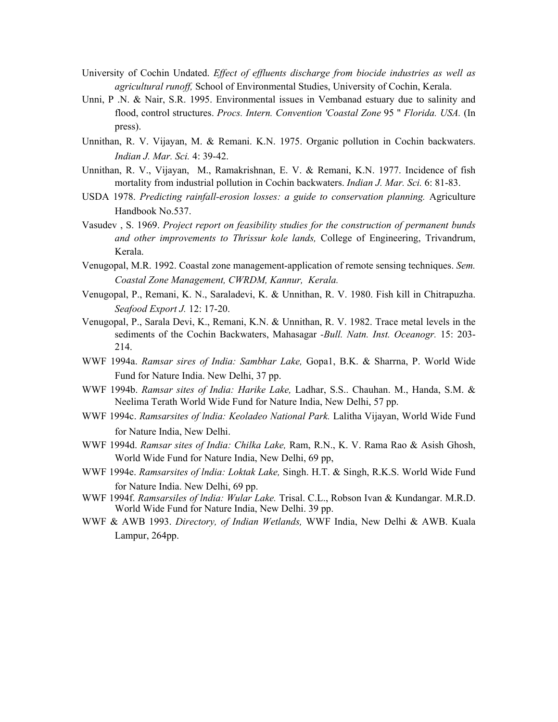- University of Cochin Undated. *Effect of effluents discharge from biocide industries as well as agricultural runoff,* School of Environmental Studies, University of Cochin, Kerala.
- Unni, P .N. & Nair, S.R. 1995. Environmental issues in Vembanad estuary due to salinity and flood, control structures. *Procs. Intern. Convention 'Coastal Zone* 95 " *Florida. USA.* (In press).
- Unnithan, R. V. Vijayan, M. & Remani. K.N. 1975. Organic pollution in Cochin backwaters. *Indian J. Mar. Sci.* 4: 39-42.
- Unnithan, R. V., Vijayan, M., Ramakrishnan, E. V. & Remani, K.N. 1977. Incidence of fish mortality from industrial pollution in Cochin backwaters. *Indian J. Mar. Sci.* 6: 81-83.
- USDA 1978. Predicting rainfall-erosion losses: a guide to conservation planning. Agriculture Handbook No.537.
- Vasudev , S. 1969. *Project report on feasibility studies for the construction of permanent bunds and other improvements to Thrissur kole lands,* College of Engineering, Trivandrum, Kerala.
- Venugopal, M.R. 1992. Coastal zone management-application of remote sensing techniques. *Sem. Coastal Zone Management, CWRDM, Kannur, Kerala.*
- Venugopal, P., Remani, K. N., Saraladevi, K. & Unnithan, R. V. 1980. Fish kill in Chitrapuzha. *Seafood Export J.* 12: 17-20.
- Venugopal, P., Sarala Devi, K., Remani, K.N. & Unnithan, R. V. 1982. Trace metal levels in the sediments of the Cochin Backwaters, Mahasagar *-Bull. Natn. Inst. Oceanogr.* 15: 203- 214.
- WWF 1994a. *Ramsar sires of India: Sambhar Lake,* Gopa1, B.K. & Sharrna, P. World Wide Fund for Nature India. New Delhi, 37 pp.
- WWF 1994b. *Ramsar sites of India: Harike Lake,* Ladhar, S.S.. Chauhan. M., Handa, S.M. & Neelima Terath World Wide Fund for Nature India, New Delhi, 57 pp.
- WWF 1994c. *Ramsarsites of lndia: Keoladeo National Park.* Lalitha Vijayan, World Wide Fund for Nature India, New Delhi.
- WWF 1994d. *Ramsar sites of India: Chilka Lake,* Ram, R.N., K. V. Rama Rao & Asish Ghosh, World Wide Fund for Nature India, New Delhi, 69 pp,
- WWF 1994e. *Ramsarsites of lndia: Loktak Lake,* Singh. H.T. & Singh, R.K.S. World Wide Fund for Nature India. New Delhi, 69 pp.
- WWF 1994f. *Ramsarsiles of lndia: Wular Lake.* Trisal. C.L., Robson Ivan & Kundangar. M.R.D. World Wide Fund for Nature India, New Delhi. 39 pp.
- WWF & AWB 1993. *Directory, of Indian Wetlands,* WWF India, New Delhi & AWB. Kuala Lampur, 264pp.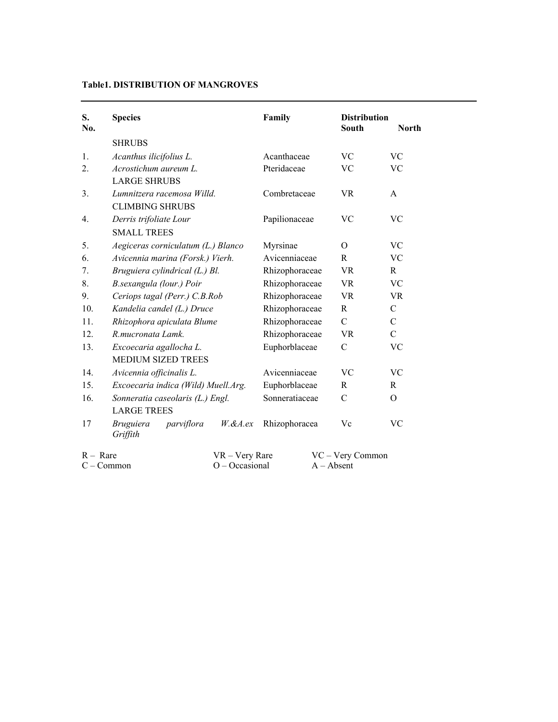# **Table1. DISTRIBUTION OF MANGROVES**

| S.<br>No.         | <b>Species</b>                                           | Family         | <b>Distribution</b><br><b>South</b> | <b>North</b>  |
|-------------------|----------------------------------------------------------|----------------|-------------------------------------|---------------|
|                   | <b>SHRUBS</b>                                            |                |                                     |               |
| $\mathbf{1}$ .    | Acanthus ilicifolius L.                                  | Acanthaceae    | <b>VC</b>                           | <b>VC</b>     |
| 2.                | Acrostichum aureum L.<br><b>LARGE SHRUBS</b>             | Pteridaceae    | <b>VC</b>                           | <b>VC</b>     |
| 3.                | Lumnitzera racemosa Willd.<br><b>CLIMBING SHRUBS</b>     | Combretaceae   | <b>VR</b>                           | $\mathsf{A}$  |
| 4.                | Derris trifoliate Lour<br><b>SMALL TREES</b>             | Papilionaceae  | VC                                  | <b>VC</b>     |
| 5.                | Aegiceras corniculatum (L.) Blanco                       | Myrsinae       | $\Omega$                            | <b>VC</b>     |
| 6.                | Avicennia marina (Forsk.) Vierh.                         | Avicenniaceae  | R                                   | <b>VC</b>     |
| 7.                | Bruguiera cylindrical (L.) Bl.                           | Rhizophoraceae | <b>VR</b>                           | R             |
| 8.                | B.sexangula (lour.) Poir                                 | Rhizophoraceae | <b>VR</b>                           | <b>VC</b>     |
| 9.                | Ceriops tagal (Perr.) C.B.Rob                            | Rhizophoraceae | <b>VR</b>                           | <b>VR</b>     |
| 10.               | Kandelia candel (L.) Druce                               | Rhizophoraceae | R                                   | $\mathcal{C}$ |
| 11.               | Rhizophora apiculata Blume                               | Rhizophoraceae | $\mathcal{C}$                       | $\mathcal{C}$ |
| 12.               | R.mucronata Lamk.                                        | Rhizophoraceae | <b>VR</b>                           | $\mathbf C$   |
| 13.               | Excoecaria agallocha L.<br><b>MEDIUM SIZED TREES</b>     | Euphorblaceae  | $\mathcal{C}$                       | <b>VC</b>     |
| 14.               | Avicennia officinalis L.                                 | Avicenniaceae  | <b>VC</b>                           | VC            |
| 15.               | Excoecaria indica (Wild) Muell.Arg.                      | Euphorblaceae  | R                                   | R             |
| 16.               | Sonneratia caseolaris (L.) Engl.<br><b>LARGE TREES</b>   | Sonneratiaceae | $\mathcal{C}$                       | $\mathcal{O}$ |
| 17                | <b>Bruguiera</b><br>parviflora<br>$W$ .&A.ex<br>Griffith | Rhizophoracea  | Vc                                  | VC            |
| $R - \text{Rare}$ | VR - Very Rare<br>$O$ – Occasional<br>$C - Common$       |                | VC - Very Common<br>$A - Absent$    |               |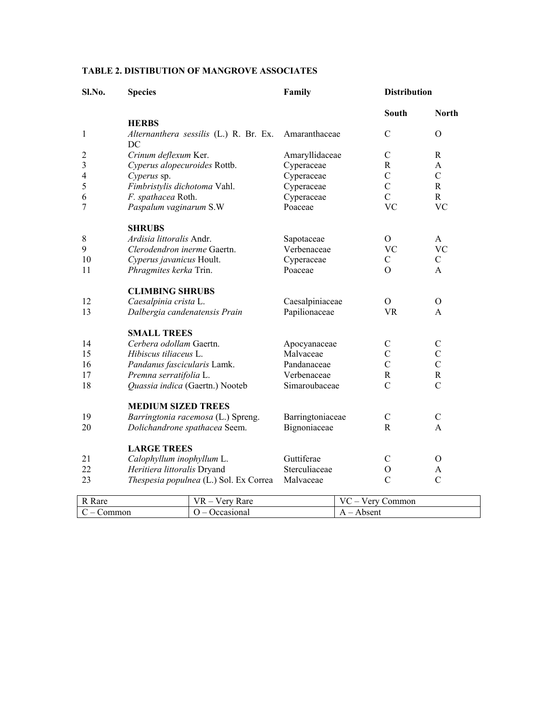# **TABLE 2. DISTIBUTION OF MANGROVE ASSOCIATES**

| Sl.No.         | <b>Species</b>                               | Family           | <b>Distribution</b> |                |
|----------------|----------------------------------------------|------------------|---------------------|----------------|
|                |                                              |                  | South               | <b>North</b>   |
|                | <b>HERBS</b>                                 |                  |                     |                |
| 1              | Alternanthera sessilis (L.) R. Br. Ex.<br>DC | Amaranthaceae    | $\overline{C}$      | $\Omega$       |
| $\overline{c}$ | Crinum deflexum Ker.                         | Amaryllidaceae   | $\mathsf{C}$        | R              |
| 3              | Cyperus alopecuroides Rottb.                 | Cyperaceae       | $\mathbf R$         | A              |
| $\overline{4}$ | Cyperus sp.                                  | Cyperaceae       | $\mathcal{C}$       | $\mathcal{C}$  |
| 5              | Fimbristylis dichotoma Vahl.                 | Cyperaceae       | $\mathcal{C}$       | R              |
| 6              | F. spathacea Roth.                           | Cyperaceae       | $\mathcal{C}$       | $\mathbf{R}$   |
| 7              | Paspalum vaginarum S.W                       | Poaceae          | <b>VC</b>           | <b>VC</b>      |
|                | <b>SHRUBS</b>                                |                  |                     |                |
| 8              | Ardisia littoralis Andr.                     | Sapotaceae       | $\Omega$            | A              |
| 9              | Clerodendron inerme Gaertn.                  | Verbenaceae      | <b>VC</b>           | <b>VC</b>      |
| 10             | Cyperus javanicus Hoult.                     | Cyperaceae       | $\mathbf C$         | $\mathbf C$    |
| 11             | Phragmites kerka Trin.                       | Poaceae          | $\Omega$            | A              |
|                | <b>CLIMBING SHRUBS</b>                       |                  |                     |                |
| 12             | Caesalpinia crista L.                        | Caesalpiniaceae  | $\Omega$            | $\Omega$       |
| 13             | Dalbergia candenatensis Prain                | Papilionaceae    | <b>VR</b>           | $\mathsf{A}$   |
|                | <b>SMALL TREES</b>                           |                  |                     |                |
| 14             | Cerbera odollam Gaertn.                      | Apocyanaceae     | $\mathcal{C}$       | $\mathcal{C}$  |
| 15             | Hibiscus tiliaceus L.                        | Malvaceae        | $\overline{C}$      | $\mathcal{C}$  |
| 16             | Pandanus fascicularis Lamk.                  | Pandanaceae      | $\mathcal{C}$       | $\overline{C}$ |
| 17             | Premna serratifolia L.                       | Verbenaceae      | $\mathbf R$         | $\mathbf R$    |
| 18             | Quassia indica (Gaertn.) Nooteb              | Simaroubaceae    | $\mathcal{C}$       | $\mathcal{C}$  |
|                | <b>MEDIUM SIZED TREES</b>                    |                  |                     |                |
| 19             | Barringtonia racemosa (L.) Spreng.           | Barringtoniaceae | $\mathcal{C}$       | $\mathcal{C}$  |
| 20             | Dolichandrone spathacea Seem.                | Bignoniaceae     | R                   | $\mathsf{A}$   |
|                | <b>LARGE TREES</b>                           |                  |                     |                |
| 21             | Calophyllum inophyllum L.                    | Guttiferae       | $\mathsf{C}$        | $\Omega$       |
| 22             | Heritiera littoralis Dryand                  | Sterculiaceae    | $\mathcal{O}$       | A              |
| 23             | Thespesia populnea (L.) Sol. Ex Correa       | Malvaceae        | $\mathcal{C}$       | $\mathcal{C}$  |
|                |                                              |                  |                     |                |

| D<br><b>Rare</b> | VR<br>Rare<br>$\sim$ 100<br>$\overline{\mathbf{r}}$ | $ -$<br>$ -$<br>`ommon<br>v<br>$\sim$ 100 |
|------------------|-----------------------------------------------------|-------------------------------------------|
| ommon<br>__<br>∼ | asionai<br>__<br>◡                                  | Absent<br>. .                             |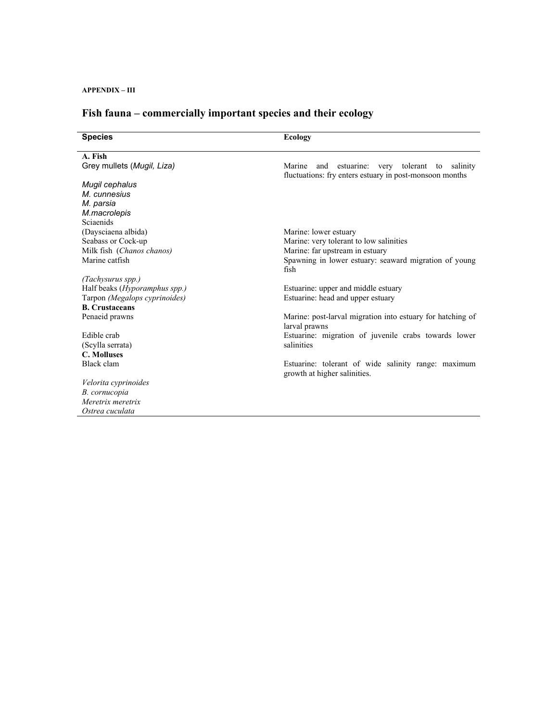**APPENDIX – III**

# **Fish fauna – commercially important species and their ecology**

| <b>Species</b>                | <b>Ecology</b>                                                                                             |
|-------------------------------|------------------------------------------------------------------------------------------------------------|
| A. Fish                       |                                                                                                            |
| Grey mullets (Mugil, Liza)    | Marine and estuarine: very tolerant to salinity<br>fluctuations: fry enters estuary in post-monsoon months |
| Mugil cephalus                |                                                                                                            |
| M. cunnesius                  |                                                                                                            |
| M. parsia                     |                                                                                                            |
| M.macrolepis                  |                                                                                                            |
| Sciaenids                     |                                                                                                            |
| (Daysciaena albida)           | Marine: lower estuary                                                                                      |
| Seabass or Cock-up            | Marine: very tolerant to low salinities                                                                    |
| Milk fish (Chanos chanos)     | Marine: far upstream in estuary                                                                            |
| Marine catfish                | Spawning in lower estuary: seaward migration of young<br>fish                                              |
| (Tachysurus spp.)             |                                                                                                            |
| Half beaks (Hyporamphus spp.) | Estuarine: upper and middle estuary                                                                        |
| Tarpon (Megalops cyprinoides) | Estuarine: head and upper estuary                                                                          |
| <b>B.</b> Crustaceans         |                                                                                                            |
| Penaeid prawns                | Marine: post-larval migration into estuary for hatching of<br>larval prawns                                |
| Edible crab                   | Estuarine: migration of juvenile crabs towards lower                                                       |
| (Scylla serrata)              | salinities                                                                                                 |
| <b>C. Molluses</b>            |                                                                                                            |
| Black clam                    | Estuarine: tolerant of wide salinity range: maximum<br>growth at higher salinities.                        |
| Velorita cyprinoides          |                                                                                                            |
| B. cornucopia                 |                                                                                                            |
| Meretrix meretrix             |                                                                                                            |
| Ostrea cuculata               |                                                                                                            |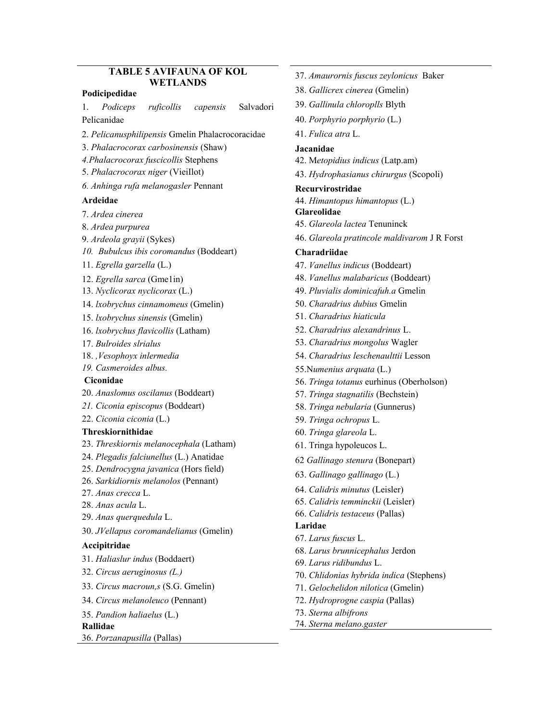#### **TABLE 5 AVIFAUNA OF KOL WETLANDS**

#### **Podicipedidae**

1. *Podiceps ruficollis capensis* Salvadori Pelicanidae

- 2. *Pelicanusphilipensis* Gmelin Phalacrocoracidae
- 3. *Phalacrocorax carbosinensis* (Shaw)
- *4.Phalacrocorax fuscicollis* Stephens
- 5. *Phalacrocorax niger* (VieiIlot)
- *6. Anhinga rufa melanogasler* Pennant

#### **Ardeidae**

- 7. *Ardea cinerea*
- 8. *Ardea purpurea*
- 9. *Ardeola grayii* (Sykes)
- *10. Bubulcus ibis coromandus* (Boddeart)
- 11. *Egrella garzella* (L.)
- 12. *Egrella sarca* (Gme1in)
- 13. *Nyclicorax nyclicorax* (L.)
- 14. *lxobrychus cinnamomeus* (Gmelin)
- 15. *lxobrychus sinensis* (Gmelin)
- 16. *lxobrychus flavicollis* (Latham)
- 17. *Bulroides slrialus*
- 18. *,Vesophoyx inlermedia*
- *19. Casmeroides albus.*

#### **Ciconidae**

- 20. *Anaslomus oscilanus* (Boddeart)
- *21. Ciconia episcopus* (Boddeart)
- 22. *Ciconia ciconia* (L.)

#### **Threskiornithidae**

- 23. *Threskiornis melanocephala* (Latham)
- 24. *Plegadis falciunellus* (L.) Anatidae
- 25. *Dendrocygna javanica* (Hors field)
- 26. *Sarkidiornis melanolos* (Pennant)
- 27. *Anas crecca* L.
- 28. *Anas acula* L.
- 29. *Anas querquedula* L.
- 30. *JVellapus coromandelianus* (Gmelin)

#### **Accipitridae**

- 31. *Haliaslur indus* (Boddaert)
- 32. *Circus aeruginosus (L.)*
- 33. *Circus macroun,s* (S.G. Gmelin)
- 34. *Circus melanoleuco* (Pennant)
- 35. *Pandion haliaelus* (L.)

# **Rallidae**

36. *Porzanapusilla* (Pallas)

- 37. *Amaurornis fuscus zeylonicus* Baker
- 38. *Gallicrex cinerea* (Gmelin)
- 39. *Gallinula chloroplls* Blyth
- 40. *Porphyrio porphyrio* (L.)
- 41. *Fulica atra* L.

#### **Jacanidae**

- 42. M*etopidius indicus* (Latp.am)
- 43. *Hydrophasianus chirurgus* (Scopoli)

#### **Recurvirostridae**

- 44. *Himantopus himantopus* (L.)
- **Glareolidae**
- 45. *Glareola lactea* Tenuninck
- 46. *Glareola pratincole maldivarom* J R Forst

#### **Charadriidae**

- 47. *Vanellus indicus* (Boddeart)
- 48. *Vanellus malabaricus* (Boddeart)
- 49. *Pluvialis dominicafuh.a* Gmelin
- 50. *Charadrius dubius* Gmelin
- 51. *Charadrius hiaticula*
- 52. *Charadrius alexandrinus* L.
- 53. *Charadrius mongolus* Wagler
- 54. *Charadrius leschenaulttii* Lesson
- 55.N*umenius arquata* (L.)
- 56. *Tringa totanus* eurhinus (Oberholson)
- 57. *Tringa stagnatilis* (Bechstein)
- 58. *Tringa nebularia* (Gunnerus)
- 59. *Tringa ochropus* L.
- 60. *Tringa glareola* L.
- 61. Tringa hypoleucos L.
- 62 *Gallinago stenura* (Bonepart)
- 63. *Gallinago gallinago* (L.)
- 64. *Calidris minutus* (Leisler)
- 65. *Calidris temminckii* (Leisler)
- 66. *Calidris testaceus* (Pallas)
- **Laridae**
- 67. *Larus fuscus* L.
- 68. *Larus brunnicephalus* Jerdon
- 69. *Larus ridibundus* L.
- 70. *Chlidonias hybrida indica* (Stephens)
- 71. *Gelochelidon nilotica* (Gmelin)
- 72. *Hydroprogne caspia* (Pallas)
- 73. *Sterna albifrons*
- 74. *Sterna melano.gaster*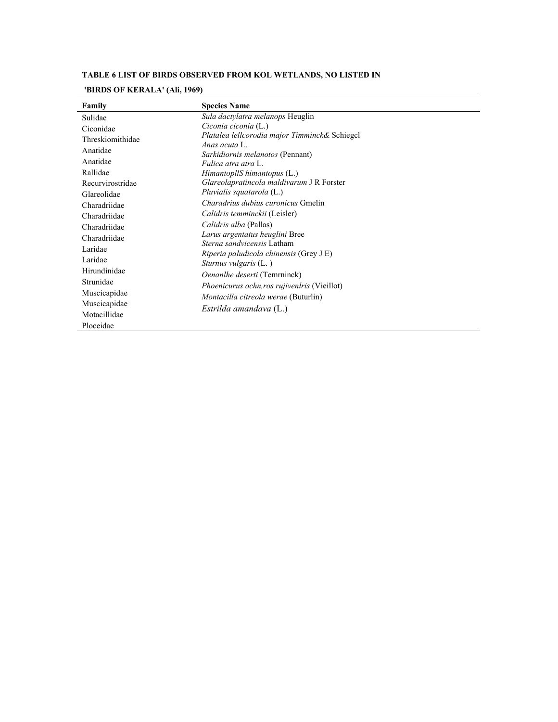# **TABLE 6 LIST OF BIRDS OBSERVED FROM KOL WETLANDS, NO LISTED IN**

# **'BIRDS OF KERALA' (Ali, 1969)**

| Family           | <b>Species Name</b>                                                               |
|------------------|-----------------------------------------------------------------------------------|
| Sulidae          | Sula dactylatra melanops Heuglin                                                  |
| Ciconidae        | Ciconia ciconia (L.)                                                              |
| Threskiomithidae | Platalea lellcorodia major Timminck& Schiegcl                                     |
| Anatidae         | Anas acuta L<br><i>Sarkidiornis melanotos</i> (Pennant)                           |
| Anatidae         | Fulica atra atra L.                                                               |
| Rallidae         | $HimantopllS himantopus$ (L.)                                                     |
| Recurvirostridae | Glareolapratincola maldivarum J R Forster                                         |
| Glareolidae      | Pluvialis squatarola (L.)                                                         |
| Charadriidae     | <i>Charadrius dubius curonicus Gmelin</i>                                         |
| Charadriidae     | Calidris temminckii (Leisler)                                                     |
| Charadriidae     | Calidris alba (Pallas)                                                            |
| Charadriidae     | Larus argentatus heuglini Bree                                                    |
| Laridae          | <i>Sterna sandvicensis</i> Latham                                                 |
| Laridae          | <i>Riperia paludicola chinensis</i> (Grey $J E$ )<br><i>Sturnus vulgaris</i> (L.) |
| Hirundinidae     | Oenanlhe deserti (Temrninck)                                                      |
| Strunidae        | Phoenicurus ochn, ros rujivenlris (Vieillot)                                      |
| Muscicapidae     | <i>Montacilla citreola werae</i> (Buturlin)                                       |
| Muscicapidae     |                                                                                   |
| Motacillidae     | Estrilda amandava (L.)                                                            |
| Ploceidae        |                                                                                   |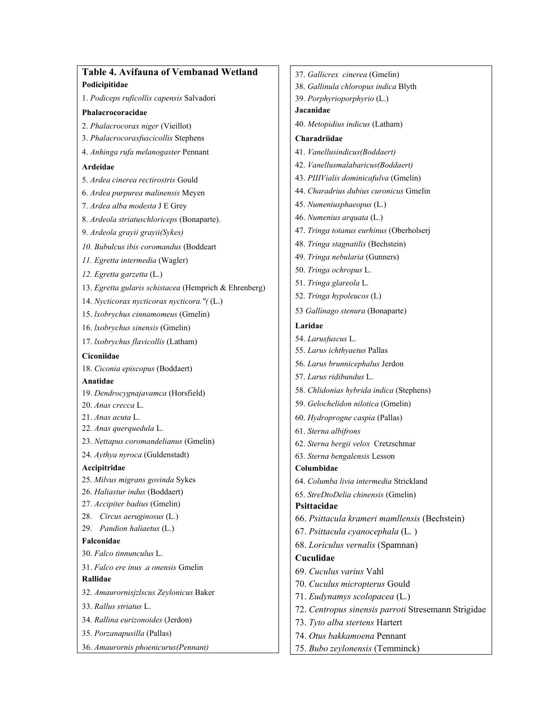| Table 4. Avifauna of Vembanad Wetland                 | 37. Gallicrex cinerea (Gmelin)                      |
|-------------------------------------------------------|-----------------------------------------------------|
| Podicipitidae                                         | 38. Gallinula chloropus indica Blyth                |
| 1. Podiceps ruficollis capensis Salvadori             | 39. Porphyrioporphyrio (L.)                         |
| Phalacrocoracidae                                     | Jacanidae                                           |
| 2. Phalacrocorax niger (Vieillot)                     | 40. Metopidius indicus (Latham)                     |
| 3. Phalacrocoraxfuscicollis Stephens                  | Charadriidae                                        |
| 4. Anhinga rufa melanogaster Pennant                  | 41. Vanellusindicus(Boddaert)                       |
| Ardeidae                                              | 42. Vanellusmalabaricus(Boddaert)                   |
| 5. Ardea cinerea rectirostris Gould                   | 43. PIIIVialis dominicafulva (Gmelin)               |
| 6. Ardea purpurea malinensis Meyen                    | 44. Charadrius dubius curonicus Gmelin              |
| 7. Ardea alba modesta J E Grey                        | 45. Numeniusphaeopus (L.)                           |
| 8. Ardeola striatuschloriceps (Bonaparte).            | 46. Numenius arquata (L.)                           |
| 9. Ardeola grayii grayii(Sykes)                       | 47. Tringa totanus eurhinus (Oberholserj            |
| 10. Bubulcus ibis coromandus (Boddeart                | 48. Tringa stagnatilis (Bechstein)                  |
| 11. Egretta intermedia (Wagler)                       | 49. Tringa nebularia (Gunners)                      |
| 12. Egretta garzetta (L.)                             | 50. Tringa ochropus L.                              |
| 13. Egretta gularis schistacea (Hemprich & Ehrenberg) | 51. Tringa glareola L.                              |
| 14. Nycticorax nycticorax nycticora."((L.)            | 52. Tringa hypoleucos (L)                           |
| 15. lxobrychus cinnamomeus (Gmelin)                   | 53 Gallinago stenura (Bonaparte)                    |
| 16. lxobrychus sinensis (Gmelin)                      | Laridae                                             |
| 17. lxobrychus flavicollis (Latham)                   | 54. Larusfuscus L.                                  |
| Ciconiidae                                            | 55. Larus ichthyaetus Pallas                        |
| 18. Ciconia episcopus (Boddaert)                      | 56. Larus brunnicephalus Jerdon                     |
| Anatidae                                              | 57. Larus ridibundus L.                             |
| 19. Dendrocygnajavamca (Horsfield)                    | 58. Chlidonias hybrida indica (Stephens)            |
| 20. Anas crecca L.                                    | 59. Gelochelidon nilotica (Gmelin)                  |
| 21. Anas acuta L.                                     | 60. Hydroprogne caspia (Pallas)                     |
| 22. Anas querquedula L.                               | 61. Sterna albifrons                                |
| 23. Nettapus coromandelianus (Gmelin)                 | 62. Sterna bergii velox Cretzschmar                 |
| 24. Aythya nyroca (Guldenstadt)                       | 63. Sterna bengalensis Lesson                       |
| Accipitridae                                          | Columbidae                                          |
| 25. Milvus migrans govinda Sykes                      | 64. Columba livia intermedia Strickland             |
| 26. Haliastur indus (Boddaert)                        | 65. StreDtoDelia chinensis (Gmelin)                 |
| 27. Accipiter badius (Gmelin)                         | Psittacidae                                         |
| 28. Circus aeruginosus (L.)                           | 66. Psittacula krameri mamllensis (Bechstein)       |
| 29. Pandion haliaetus (L.)                            | 67. Psittacula cyanocephala (L.)                    |
| Falconidae                                            | 68. Loriculus vernalis (Spamnan)                    |
| 30. Falco tinnunculus L.                              | Cuculidae                                           |
| 31. Falco ere inus .a onensis Gmelin<br>Rallidae      | 69. Cuculus varius Vahl                             |
|                                                       | 70. Cuculus micropterus Gould                       |
| 32. Amaurornisjzlscus Zeylonicus Baker                | 71. Eudynamys scolopacea (L.)                       |
| 33. Rallus striatus L.                                | 72. Centropus sinensis parroti Stresemann Strigidae |
| 34. Rallina eurizonoides (Jerdon)                     | 73. Tyto alba stertens Hartert                      |
| 35. Porzanapusilla (Pallas)                           | 74. Otus bakkamoena Pennant                         |
| 36. Amaurornis phoenicurus(Pennant)                   | 75. Bubo zeylonensis (Temminck)                     |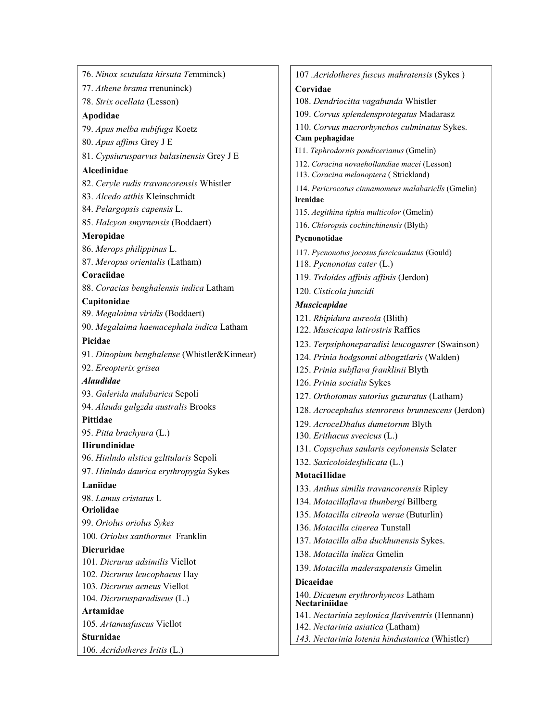76. *Ninox scutulata hirsuta Te*mminck) 77. *Athene brama* rrenuninck) 78. *Strix ocellata* (Lesson) **Apodidae** 79. *Apus melba nubifuga* Koetz 80. *Apus affims* Grey J E 81. *Cypsiurusparvus balasinensis* Grey J E **Alcedinidae** 82. *Ceryle rudis travancorensis* Whistler 83. *Alcedo atthis* Kleinschmidt 84. *Pelargopsis capensis* L. 85. *Halcyon smyrnensis* (Boddaert) **Meropidae** 86. *Merops philippinus* L. 87. *Meropus orientalis* (Latham) **Coraciidae** 88. *Coracias benghalensis indica* Latham **Capitonidae** 89. *Megalaima viridis* (Boddaert) 90. *Megalaima haemacephala indica* Latham **Picidae** 91. *Dinopium benghalense* (Whistler&Kinnear) 92. *Ereopterix grisea Alaudidae* 93. *Galerida malabarica* Sepoli 94. *Alauda gulgzda australis* Brooks **Pittidae** 95. *Pitta brachyura* (L.) **Hirundinidae** 96. *Hinlndo nlstica gzlttularis* Sepoli 97. *Hinlndo daurica erythropygia* Sykes **Laniidae** 98. *Lamus cristatus* L **Oriolidae** 99. *Oriolus oriolus Sykes* 100. *Oriolus xanthornus* Franklin **Dicruridae** 101. *Dicrurus adsimilis* Viellot 102. *Dicrurus leucophaeus* Hay 103. *Dicrurus aeneus* Viellot 104. *Dicrurusparadiseus* (L.) **Artamidae** 105. *Artamusfuscus* Viellot **Sturnidae** 106. *Acridotheres Iritis* (L.)

107 *.Acridotheres fuscus mahratensis* (Sykes ) **Corvidae** 108. *Dendriocitta vagabunda* Whistler 109. *Corvus splendensprotegatus* Madarasz 110. *Corvus macrorhynchos culminatus* Sykes. **Cam pephagidae** I11. *Tephrodornis pondicerianus* (Gmelin) 112. *Coracina novaehollandiae macei* (Lesson) 113. *Coracina melanoptera* ( Strickland) 114. *Pericrocotus cinnamomeus malabariclls* (Gmelin) **lrenidae** 115. *Aegithina tiphia multicolor* (Gmelin) 116. *Chloropsis cochinchinensis* (Blyth) **Pycnonotidae** 117. *Pycnonotus jocosus fuscicaudatus* (Gould) 118. *Pycnonotus cater* (L.) 119. *Trdoides affinis affinis* (Jerdon) 120. *Cisticola juncidi Muscicapidae* 121. *Rhipidura aureola* (Blith) 122. *Muscicapa latirostris* Raffies 123. *Terpsiphoneparadisi leucogasrer* (Swainson) 124. *Prinia hodgsonni albogztlaris* (Walden) 125. *Prinia subflava franklinii* Blyth 126. *Prinia socialis* Sykes 127. *Orthotomus sutorius guzuratus* (Latham) 128. *Acrocephalus stenroreus brunnescens* (Jerdon) 129. *AcroceDhalus dumetornm* Blyth 130. *Erithacus svecicus* (L.) 131. *Copsychus saularis ceylonensis* Sclater 132. *Saxicoloidesfulicata* (L.) **Motaci1lidae** 133. *Anthus similis travancorensis* Ripley 134. *Motacillaflava thunbergi* Billberg 135. *Motacilla citreola werae* (Buturlin) 136. *Motacilla cinerea* Tunstall 137. *Motacilla alba duckhunensis* Sykes. 138. *Motacilla indica* Gmelin 139. *Motacilla maderaspatensis* Gmelin **Dicaeidae** 140. *Dicaeum erythrorhyncos* Latham **Nectariniidae** 141. *Nectarinia zeylonica flaviventris* (Hennann) 142. *Nectarinia asiatica* (Latham) *143. Nectarinia lotenia hindustanica* (Whistler)